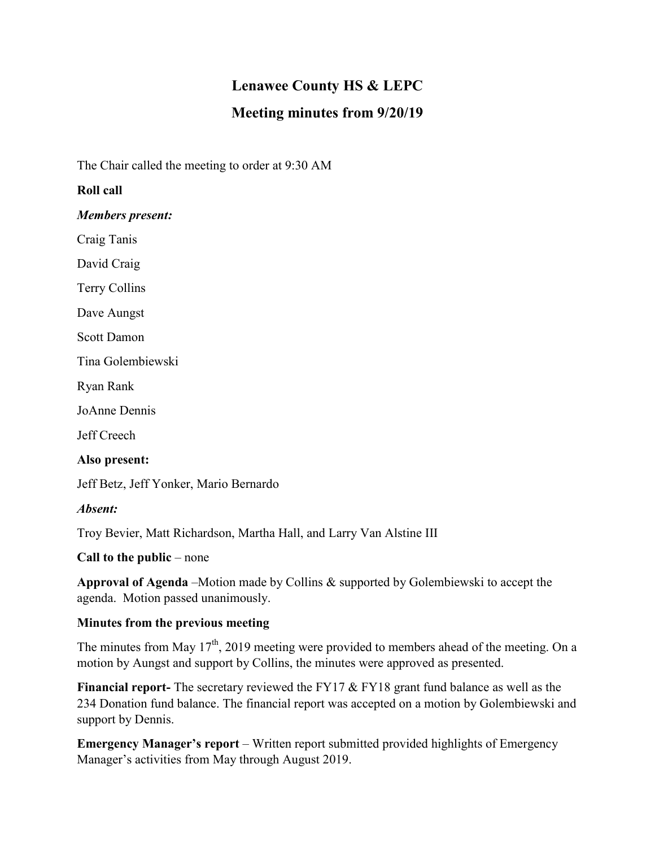# **Lenawee County HS & LEPC**

## **Meeting minutes from 9/20/19**

The Chair called the meeting to order at 9:30 AM

#### **Roll call**

*Members present:*

Craig Tanis

David Craig

Terry Collins

Dave Aungst

Scott Damon

Tina Golembiewski

Ryan Rank

JoAnne Dennis

Jeff Creech

#### **Also present:**

Jeff Betz, Jeff Yonker, Mario Bernardo

#### *Absent:*

Troy Bevier, Matt Richardson, Martha Hall, and Larry Van Alstine III

**Call to the public** – none

**Approval of Agenda** –Motion made by Collins & supported by Golembiewski to accept the agenda. Motion passed unanimously.

#### **Minutes from the previous meeting**

The minutes from May  $17<sup>th</sup>$ , 2019 meeting were provided to members ahead of the meeting. On a motion by Aungst and support by Collins, the minutes were approved as presented.

**Financial report-** The secretary reviewed the FY17 & FY18 grant fund balance as well as the 234 Donation fund balance. The financial report was accepted on a motion by Golembiewski and support by Dennis.

**Emergency Manager's report** – Written report submitted provided highlights of Emergency Manager's activities from May through August 2019.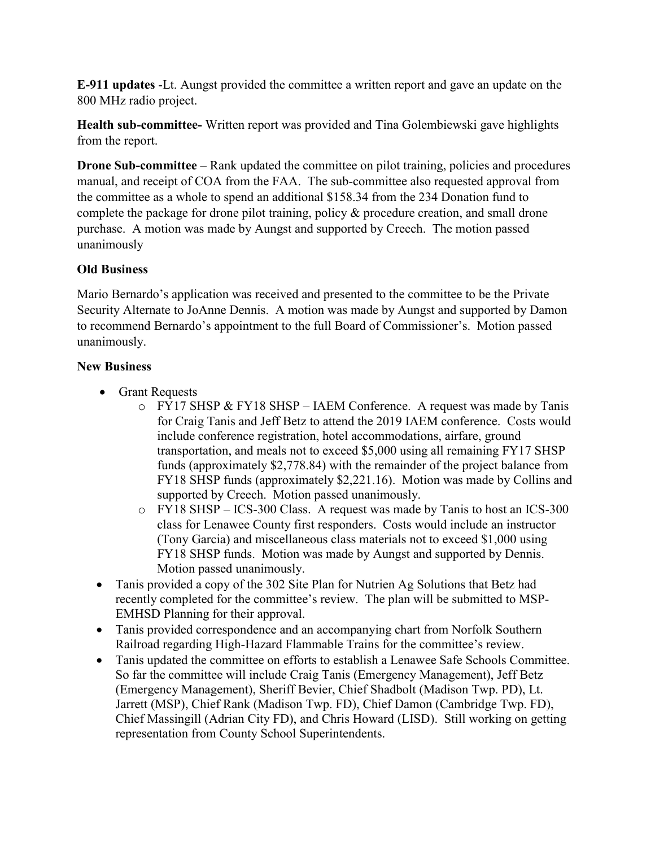**E-911 updates** -Lt. Aungst provided the committee a written report and gave an update on the 800 MHz radio project.

**Health sub-committee-** Written report was provided and Tina Golembiewski gave highlights from the report.

**Drone Sub-committee** – Rank updated the committee on pilot training, policies and procedures manual, and receipt of COA from the FAA. The sub-committee also requested approval from the committee as a whole to spend an additional \$158.34 from the 234 Donation fund to complete the package for drone pilot training, policy & procedure creation, and small drone purchase. A motion was made by Aungst and supported by Creech. The motion passed unanimously

## **Old Business**

Mario Bernardo's application was received and presented to the committee to be the Private Security Alternate to JoAnne Dennis. A motion was made by Aungst and supported by Damon to recommend Bernardo's appointment to the full Board of Commissioner's. Motion passed unanimously.

### **New Business**

- Grant Requests
	- o FY17 SHSP & FY18 SHSP IAEM Conference. A request was made by Tanis for Craig Tanis and Jeff Betz to attend the 2019 IAEM conference. Costs would include conference registration, hotel accommodations, airfare, ground transportation, and meals not to exceed \$5,000 using all remaining FY17 SHSP funds (approximately \$2,778.84) with the remainder of the project balance from FY18 SHSP funds (approximately \$2,221.16). Motion was made by Collins and supported by Creech. Motion passed unanimously.
	- o FY18 SHSP ICS-300 Class. A request was made by Tanis to host an ICS-300 class for Lenawee County first responders. Costs would include an instructor (Tony Garcia) and miscellaneous class materials not to exceed \$1,000 using FY18 SHSP funds. Motion was made by Aungst and supported by Dennis. Motion passed unanimously.
- Tanis provided a copy of the 302 Site Plan for Nutrien Ag Solutions that Betz had recently completed for the committee's review. The plan will be submitted to MSP-EMHSD Planning for their approval.
- Tanis provided correspondence and an accompanying chart from Norfolk Southern Railroad regarding High-Hazard Flammable Trains for the committee's review.
- Tanis updated the committee on efforts to establish a Lenawee Safe Schools Committee. So far the committee will include Craig Tanis (Emergency Management), Jeff Betz (Emergency Management), Sheriff Bevier, Chief Shadbolt (Madison Twp. PD), Lt. Jarrett (MSP), Chief Rank (Madison Twp. FD), Chief Damon (Cambridge Twp. FD), Chief Massingill (Adrian City FD), and Chris Howard (LISD). Still working on getting representation from County School Superintendents.